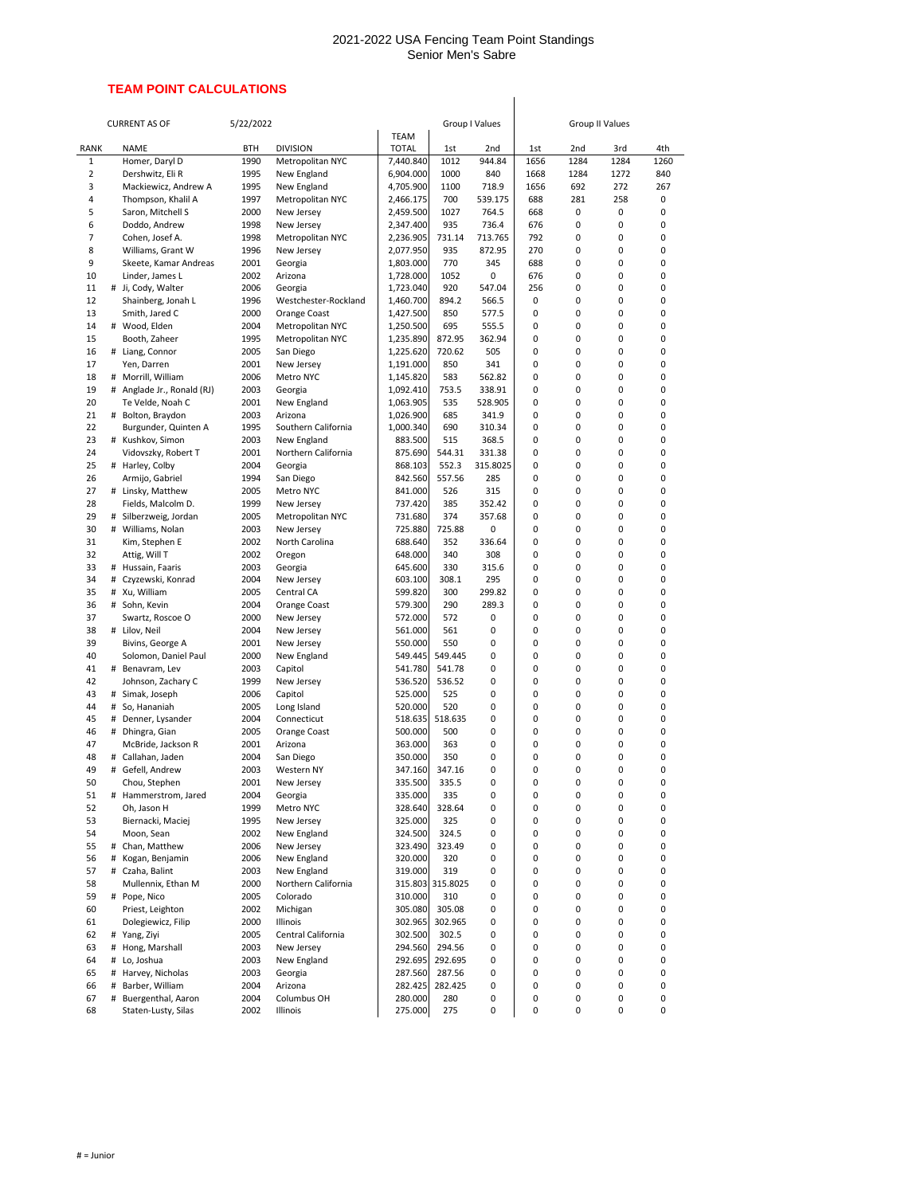## 2021-2022 USA Fencing Team Point Standings Senior Men's Sabre

## **TEAM POINT CALCULATIONS**

|                                |        | <b>CURRENT AS OF</b>                         | 5/22/2022    |                                 |                        |                   | <b>Group I Values</b> | <b>Group II Values</b> |              |              |             |  |
|--------------------------------|--------|----------------------------------------------|--------------|---------------------------------|------------------------|-------------------|-----------------------|------------------------|--------------|--------------|-------------|--|
|                                |        |                                              |              |                                 |                        |                   |                       |                        |              |              |             |  |
| <b>RANK</b>                    |        | <b>NAME</b><br><b>BTH</b>                    |              | <b>DIVISION</b>                 | <b>TOTAL</b>           | 1st               | 2nd                   | 1st                    | 2nd          | 3rd          | 4th         |  |
| $\mathbf{1}$<br>$\overline{2}$ |        | Homer, Daryl D<br>Dershwitz, Eli R           | 1990<br>1995 | Metropolitan NYC<br>New England | 7,440.840<br>6,904.000 | 1012<br>1000      | 944.84<br>840         | 1656<br>1668           | 1284<br>1284 | 1284<br>1272 | 1260<br>840 |  |
| 3                              |        | Mackiewicz, Andrew A                         | 1995         | New England                     | 4,705.900              | 1100              | 718.9                 | 1656                   | 692          | 272          | 267         |  |
| 4                              |        | Thompson, Khalil A                           | 1997         | Metropolitan NYC                | 2,466.175              | 700               | 539.175               | 688                    | 281          | 258          | 0           |  |
| 5                              |        | Saron, Mitchell S                            | 2000         | New Jersey                      | 2,459.500              | 1027              | 764.5                 | 668                    | 0            | 0            | 0           |  |
| 6                              |        | Doddo, Andrew                                | 1998         | New Jersey                      | 2,347.400              | 935               | 736.4                 | 676                    | 0            | 0            | 0           |  |
| 7                              |        | Cohen, Josef A.                              | 1998         | Metropolitan NYC                | 2,236.905              | 731.14            | 713.765               | 792                    | 0            | 0            | 0           |  |
| 8                              |        | Williams, Grant W                            | 1996         | New Jersey                      | 2,077.950              | 935               | 872.95                | 270                    | 0            | 0            | 0           |  |
| 9<br>10                        |        | Skeete, Kamar Andreas<br>Linder, James L     | 2001<br>2002 | Georgia<br>Arizona              | 1,803.000<br>1,728.000 | 770<br>1052       | 345<br>0              | 688<br>676             | 0<br>0       | 0<br>0       | 0<br>0      |  |
| 11                             | #      | Ji, Cody, Walter                             | 2006         | Georgia                         | 1,723.040              | 920               | 547.04                | 256                    | 0            | 0            | 0           |  |
| 12                             |        | Shainberg, Jonah L                           | 1996         | Westchester-Rockland            | 1,460.700              | 894.2             | 566.5                 | 0                      | 0            | 0            | 0           |  |
| 13                             |        | Smith, Jared C                               | 2000         | Orange Coast                    | 1,427.500              | 850               | 577.5                 | 0                      | 0            | 0            | 0           |  |
| 14                             |        | # Wood, Elden                                | 2004         | Metropolitan NYC                | 1,250.500              | 695               | 555.5                 | 0                      | 0            | 0            | 0           |  |
| 15                             |        | Booth, Zaheer                                | 1995         | Metropolitan NYC                | 1,235.890              | 872.95            | 362.94                | 0                      | 0            | 0            | 0           |  |
| 16                             | #      | Liang, Connor                                | 2005         | San Diego                       | 1,225.620              | 720.62            | 505                   | 0                      | 0            | 0            | 0           |  |
| 17                             |        | Yen, Darren                                  | 2001         | New Jersey                      | 1,191.000              | 850               | 341                   | 0                      | 0            | 0            | 0           |  |
| 18<br>19                       | #<br># | Morrill, William                             | 2006<br>2003 | Metro NYC                       | 1,145.820<br>1,092.410 | 583<br>753.5      | 562.82<br>338.91      | 0                      | 0<br>0       | 0<br>0       | 0           |  |
| 20                             |        | Anglade Jr., Ronald (RJ)<br>Te Velde, Noah C | 2001         | Georgia<br>New England          | 1,063.905              | 535               | 528.905               | 0<br>0                 | 0            | 0            | 0<br>0      |  |
| 21                             | #      | Bolton, Braydon                              | 2003         | Arizona                         | 1,026.900              | 685               | 341.9                 | 0                      | 0            | 0            | 0           |  |
| 22                             |        | Burgunder, Quinten A                         | 1995         | Southern California             | 1,000.340              | 690               | 310.34                | 0                      | 0            | 0            | 0           |  |
| 23                             |        | # Kushkov, Simon                             | 2003         | New England                     | 883.500                | 515               | 368.5                 | 0                      | 0            | 0            | 0           |  |
| 24                             |        | Vidovszky, Robert T                          | 2001         | Northern California             | 875.690                | 544.31            | 331.38                | 0                      | 0            | 0            | 0           |  |
| 25                             |        | # Harley, Colby                              | 2004         | Georgia                         | 868.103                | 552.3             | 315.8025              | 0                      | 0            | 0            | 0           |  |
| 26                             |        | Armijo, Gabriel                              | 1994         | San Diego                       | 842.560                | 557.56            | 285                   | 0                      | 0            | 0            | 0           |  |
| 27                             | #      | Linsky, Matthew                              | 2005         | Metro NYC                       | 841.000                | 526               | 315                   | 0                      | 0            | 0            | 0           |  |
| 28<br>29                       |        | Fields, Malcolm D.<br>Silberzweig, Jordan    | 1999<br>2005 | New Jersey<br>Metropolitan NYC  | 737.420<br>731.680     | 385<br>374        | 352.42<br>357.68      | 0                      | 0<br>0       | 0<br>0       | 0<br>0      |  |
| 30                             | #<br># | Williams, Nolan                              | 2003         | New Jersey                      | 725.880                | 725.88            | 0                     | 0<br>0                 | 0            | 0            | 0           |  |
| 31                             |        | Kim, Stephen E                               | 2002         | North Carolina                  | 688.640                | 352               | 336.64                | 0                      | 0            | 0            | 0           |  |
| 32                             |        | Attig, Will T                                | 2002         | Oregon                          | 648.000                | 340               | 308                   | 0                      | 0            | 0            | 0           |  |
| 33                             |        | # Hussain, Faaris                            | 2003         | Georgia                         | 645.600                | 330               | 315.6                 | 0                      | 0            | 0            | 0           |  |
| 34                             | #      | Czyzewski, Konrad                            | 2004         | New Jersey                      | 603.100                | 308.1             | 295                   | 0                      | 0            | 0            | 0           |  |
| 35                             |        | # Xu, William                                | 2005         | Central CA                      | 599.820                | 300               | 299.82                | 0                      | 0            | 0            | 0           |  |
| 36                             |        | # Sohn, Kevin                                | 2004         | Orange Coast                    | 579.300                | 290               | 289.3                 | 0                      | 0            | 0            | 0           |  |
| 37<br>38                       | #      | Swartz, Roscoe O                             | 2000<br>2004 | New Jersey                      | 572.000<br>561.000     | 572<br>561        | 0<br>0                | 0<br>0                 | 0<br>0       | 0<br>0       | 0<br>0      |  |
| 39                             |        | Lilov, Neil<br>Bivins, George A              | 2001         | New Jersey<br>New Jersey        | 550.000                | 550               | 0                     | 0                      | 0            | 0            | 0           |  |
| 40                             |        | Solomon, Daniel Paul                         | 2000         | New England                     | 549.445                | 549.445           | 0                     | 0                      | 0            | 0            | 0           |  |
| 41                             | #      | Benavram, Lev                                | 2003         | Capitol                         | 541.780                | 541.78            | 0                     | 0                      | 0            | 0            | 0           |  |
| 42                             |        | Johnson, Zachary C                           | 1999         | New Jersey                      | 536.520                | 536.52            | 0                     | 0                      | 0            | 0            | 0           |  |
| 43                             | #      | Simak, Joseph                                | 2006         | Capitol                         | 525.000                | 525               | 0                     | 0                      | 0            | 0            | 0           |  |
| 44                             |        | # So, Hananiah                               | 2005         | Long Island                     | 520.000                | 520               | 0                     | 0                      | 0            | 0            | 0           |  |
| 45                             | #      | Denner, Lysander                             | 2004         | Connecticut                     | 518.635                | 518.635<br>500    | 0                     | 0                      | 0            | 0            | 0           |  |
| 46<br>47                       | #      | Dhingra, Gian<br>McBride, Jackson R          | 2005<br>2001 | Orange Coast<br>Arizona         | 500.000<br>363.000     | 363               | 0<br>0                | 0<br>0                 | 0<br>0       | 0<br>0       | 0<br>0      |  |
| 48                             | #      | Callahan, Jaden                              | 2004         | San Diego                       | 350.000                | 350               | 0                     | 0                      | 0            | 0            | 0           |  |
| 49                             |        | # Gefell, Andrew                             | 2003         | Western NY                      | 347.160                | 347.16            | 0                     | 0                      | 0            | 0            | 0           |  |
| 50                             |        | Chou, Stephen                                | 2001         | New Jersey                      | 335.500                | 335.5             | 0                     | 0                      | 0            | 0            | 0           |  |
| 51                             | #      | Hammerstrom, Jared                           | 2004         | Georgia                         | 335.000                | 335               | 0                     | 0                      | 0            | 0            | 0           |  |
| 52                             |        | Oh, Jason H                                  | 1999         | Metro NYC                       | 328.640                | 328.64            | 0                     | 0                      | 0            | 0            | 0           |  |
| 53                             |        | Biernacki, Maciej                            | 1995         | New Jersey                      | 325.000                | 325               | 0                     | 0                      | 0            | 0            | 0           |  |
| 54<br>55                       |        | Moon, Sean<br># Chan, Matthew                | 2002<br>2006 | New England<br>New Jersey       | 324.500<br>323.490     | 324.5<br>323.49   | 0<br>0                | 0<br>0                 | 0<br>0       | 0<br>0       | 0<br>0      |  |
| 56                             | #      | Kogan, Benjamin                              | 2006         | New England                     | 320.000                | 320               | 0                     | 0                      | 0            | 0            | 0           |  |
| 57                             |        | # Czaha, Balint                              | 2003         | New England                     | 319.000                | 319               | 0                     | 0                      | 0            | 0            | 0           |  |
| 58                             |        | Mullennix, Ethan M                           | 2000         | Northern California             |                        | 315.803 315.8025  | 0                     | 0                      | 0            | 0            | 0           |  |
| 59                             |        | # Pope, Nico                                 | 2005         | Colorado                        | 310.000                | 310               | 0                     | 0                      | 0            | 0            | 0           |  |
| 60                             |        | Priest, Leighton                             | 2002         | Michigan                        | 305.080                | 305.08            | 0                     | 0                      | 0            | 0            | 0           |  |
| 61                             |        | Dolegiewicz, Filip                           | 2000         | Illinois                        | 302.965                | 302.965           | 0                     | 0                      | 0            | 0            | 0           |  |
| 62                             | #      | Yang, Ziyi                                   | 2005         | Central California              | 302.500                | 302.5             | 0                     | 0                      | 0            | 0            | 0           |  |
| 63                             |        | # Hong, Marshall                             | 2003         | New Jersey                      | 294.560                | 294.56            | 0                     | 0                      | 0            | 0            | 0           |  |
| 64<br>65                       | #      | Lo, Joshua<br># Harvey, Nicholas             | 2003<br>2003 | New England<br>Georgia          | 292.695<br>287.560     | 292.695<br>287.56 | 0<br>0                | 0<br>0                 | 0<br>0       | 0<br>0       | 0<br>0      |  |
| 66                             | #      | Barber, William                              | 2004         | Arizona                         | 282.425                | 282.425           | 0                     | 0                      | 0            | 0            | 0           |  |
| 67                             | #      | Buergenthal, Aaron                           | 2004         | Columbus OH                     | 280.000                | 280               | 0                     | 0                      | 0            | 0            | 0           |  |
| 68                             |        | Staten-Lusty, Silas                          | 2002         | Illinois                        | 275.000                | 275               | 0                     | 0                      | 0            | 0            | 0           |  |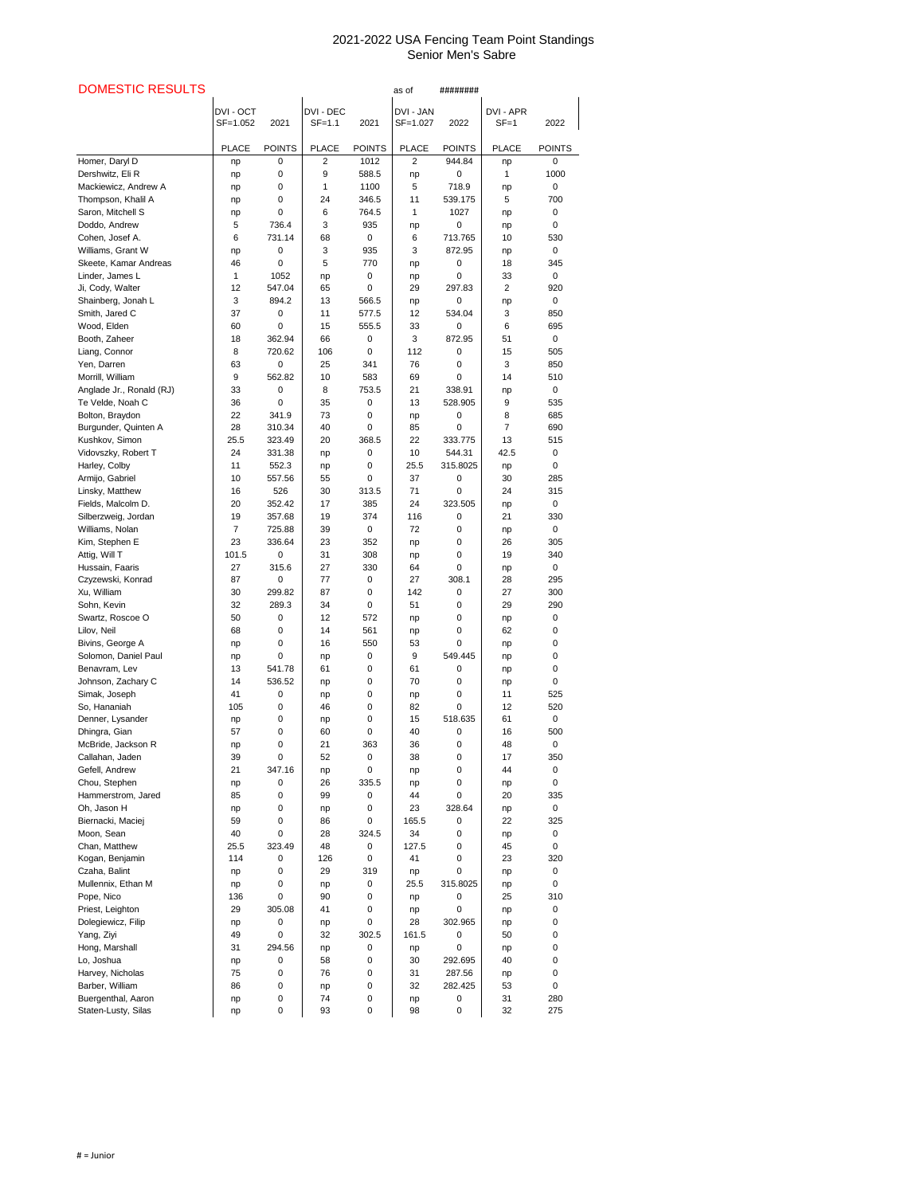## 2021-2022 USA Fencing Team Point Standings Senior Men's Sabre

| <b>DOMESTIC RESULTS</b>                      |                       |                  |                              |                  | as of                 | ########               |                       |                    |
|----------------------------------------------|-----------------------|------------------|------------------------------|------------------|-----------------------|------------------------|-----------------------|--------------------|
|                                              | DVI - OCT<br>SF=1.052 | 2021             | <b>DVI - DEC</b><br>$SF=1.1$ | 2021             | DVI - JAN<br>SF=1.027 | 2022                   | DVI - APR<br>$SF = 1$ | 2022               |
|                                              | <b>PLACE</b>          | <b>POINTS</b>    | <b>PLACE</b>                 | <b>POINTS</b>    | <b>PLACE</b>          | <b>POINTS</b>          | <b>PLACE</b>          | <b>POINTS</b>      |
| Homer, Daryl D                               | np                    | 0                | $\overline{2}$               | 1012             | $\overline{2}$        | 944.84                 | np                    | 0                  |
| Dershwitz, Eli R                             | np                    | 0                | 9                            | 588.5            | np                    | 0                      | 1                     | 1000               |
| Mackiewicz, Andrew A                         | np                    | 0                | 1                            | 1100             | 5                     | 718.9                  | np                    | $\mathbf 0$        |
| Thompson, Khalil A                           | np                    | 0                | 24                           | 346.5            | 11                    | 539.175                | 5                     | 700                |
| Saron, Mitchell S                            | np                    | 0                | 6                            | 764.5            | 1                     | 1027                   | np                    | 0                  |
| Doddo, Andrew<br>Cohen, Josef A.             | 5<br>6                | 736.4<br>731.14  | 3<br>68                      | 935<br>0         | np                    | $\mathbf 0$<br>713.765 | np<br>10              | 0<br>530           |
| Williams, Grant W                            | np                    | $\pmb{0}$        | 3                            | 935              | 6<br>3                | 872.95                 | np                    | 0                  |
| Skeete, Kamar Andreas                        | 46                    | 0                | 5                            | 770              | np                    | $\mathbf 0$            | 18                    | 345                |
| Linder, James L                              | 1                     | 1052             | np                           | 0                | np                    | 0                      | 33                    | 0                  |
| Ji, Cody, Walter                             | 12                    | 547.04           | 65                           | 0                | 29                    | 297.83                 | $\overline{2}$        | 920                |
| Shainberg, Jonah L                           | 3                     | 894.2            | 13                           | 566.5            | np                    | $\pmb{0}$              | np                    | 0                  |
| Smith, Jared C                               | 37                    | 0                | 11                           | 577.5            | 12                    | 534.04                 | 3                     | 850                |
| Wood, Elden                                  | 60                    | 0                | 15                           | 555.5            | 33                    | $\mathbf 0$            | 6                     | 695                |
| Booth, Zaheer                                | 18                    | 362.94           | 66                           | 0                | 3                     | 872.95                 | 51                    | 0                  |
| Liang, Connor                                | 8                     | 720.62           | 106                          | 0                | 112                   | 0                      | 15                    | 505                |
| Yen, Darren                                  | 63<br>9               | 0<br>562.82      | 25<br>10                     | 341<br>583       | 76                    | 0                      | 3<br>14               | 850<br>510         |
| Morrill, William<br>Anglade Jr., Ronald (RJ) | 33                    | $\pmb{0}$        | 8                            | 753.5            | 69<br>21              | 0<br>338.91            |                       | 0                  |
| Te Velde, Noah C                             | 36                    | 0                | 35                           | 0                | 13                    | 528.905                | np<br>9               | 535                |
| Bolton, Braydon                              | 22                    | 341.9            | 73                           | 0                | np                    | 0                      | 8                     | 685                |
| Burgunder, Quinten A                         | 28                    | 310.34           | 40                           | 0                | 85                    | 0                      | $\overline{7}$        | 690                |
| Kushkov, Simon                               | 25.5                  | 323.49           | 20                           | 368.5            | 22                    | 333.775                | 13                    | 515                |
| Vidovszky, Robert T                          | 24                    | 331.38           | np                           | 0                | 10                    | 544.31                 | 42.5                  | $\mathbf 0$        |
| Harley, Colby                                | 11                    | 552.3            | np                           | 0                | 25.5                  | 315.8025               | np                    | 0                  |
| Armijo, Gabriel                              | 10                    | 557.56           | 55                           | 0                | 37                    | 0                      | 30                    | 285                |
| Linsky, Matthew                              | 16                    | 526              | 30                           | 313.5            | 71                    | 0                      | 24                    | 315                |
| Fields, Malcolm D.                           | 20                    | 352.42           | 17                           | 385              | 24                    | 323.505                | np                    | 0                  |
| Silberzweig, Jordan                          | 19<br>$\overline{7}$  | 357.68           | 19                           | 374              | 116                   | 0                      | 21                    | 330<br>$\mathbf 0$ |
| Williams, Nolan<br>Kim, Stephen E            | 23                    | 725.88<br>336.64 | 39<br>23                     | 0<br>352         | 72<br>np              | 0<br>0                 | np<br>26              | 305                |
| Attig, Will T                                | 101.5                 | $\pmb{0}$        | 31                           | 308              | np                    | 0                      | 19                    | 340                |
| Hussain, Faaris                              | 27                    | 315.6            | 27                           | 330              | 64                    | 0                      | np                    | $\mathbf 0$        |
| Czyzewski, Konrad                            | 87                    | 0                | 77                           | $\pmb{0}$        | 27                    | 308.1                  | 28                    | 295                |
| Xu, William                                  | 30                    | 299.82           | 87                           | 0                | 142                   | 0                      | 27                    | 300                |
| Sohn, Kevin                                  | 32                    | 289.3            | 34                           | 0                | 51                    | 0                      | 29                    | 290                |
| Swartz, Roscoe O                             | 50                    | 0                | 12                           | 572              | np                    | 0                      | np                    | 0                  |
| Lilov, Neil                                  | 68                    | 0                | 14                           | 561              | np                    | 0                      | 62                    | 0                  |
| Bivins, George A                             | np                    | 0                | 16                           | 550              | 53                    | 0                      | np                    | 0                  |
| Solomon, Daniel Paul                         | np                    | 0                | np                           | $\pmb{0}$        | 9                     | 549.445                | np                    | 0                  |
| Benavram, Lev                                | 13                    | 541.78           | 61                           | 0                | 61                    | $\pmb{0}$              | np                    | 0                  |
| Johnson, Zachary C<br>Simak, Joseph          | 14<br>41              | 536.52<br>0      | np                           | 0<br>0           | 70                    | 0<br>0                 | np<br>11              | 0<br>525           |
| So, Hananiah                                 | 105                   | 0                | np<br>46                     | 0                | np<br>82              | $\pmb{0}$              | 12                    | 520                |
| Denner, Lysander                             | np                    | 0                | np                           | 0                | 15                    | 518.635                | 61                    | 0                  |
| Dhingra, Gian                                | 57                    | 0                | 60                           | 0                | 40                    | $\pmb{0}$              | 16                    | 500                |
| McBride, Jackson R                           | np                    | 0                | 21                           | 363              | 36                    | 0                      | 48                    | 0                  |
| Callahan, Jaden                              | 39                    | 0                | 52                           | $\boldsymbol{0}$ | 38                    | 0                      | 17                    | 350                |
| Gefell, Andrew                               | 21                    | 347.16           | np                           | 0                | np                    | 0                      | 44                    | $\mathbf 0$        |
| Chou, Stephen                                | np                    | 0                | 26                           | 335.5            | np                    | 0                      | np                    | 0                  |
| Hammerstrom, Jared                           | 85                    | 0                | 99                           | 0                | 44                    | 0                      | 20                    | 335                |
| Oh, Jason H                                  | np<br>59              | 0                | np<br>86                     | 0                | 23                    | 328.64                 | np<br>22              | $\mathbf 0$        |
| Biernacki, Maciej<br>Moon, Sean              | 40                    | 0<br>0           | 28                           | 0<br>324.5       | 165.5<br>34           | 0<br>0                 | np                    | 325<br>0           |
| Chan, Matthew                                | 25.5                  | 323.49           | 48                           | 0                | 127.5                 | 0                      | 45                    | 0                  |
| Kogan, Benjamin                              | 114                   | 0                | 126                          | 0                | 41                    | 0                      | 23                    | 320                |
| Czaha, Balint                                | np                    | 0                | 29                           | 319              | np                    | $\pmb{0}$              | np                    | 0                  |
| Mullennix, Ethan M                           | np                    | 0                | np                           | 0                | 25.5                  | 315.8025               | np                    | 0                  |
| Pope, Nico                                   | 136                   | 0                | 90                           | 0                | np                    | 0                      | 25                    | 310                |
| Priest, Leighton                             | 29                    | 305.08           | 41                           | 0                | np                    | 0                      | np                    | 0                  |
| Dolegiewicz, Filip                           | np                    | 0                | np                           | 0                | 28                    | 302.965                | np                    | 0                  |
| Yang, Ziyi                                   | 49                    | 0                | 32                           | 302.5            | 161.5                 | 0                      | 50                    | 0                  |
| Hong, Marshall                               | 31                    | 294.56           | np                           | 0                | np                    | 0                      | np                    | 0                  |
| Lo, Joshua                                   | np                    | 0                | 58                           | 0                | 30                    | 292.695                | 40                    | 0                  |
| Harvey, Nicholas                             | 75                    | 0                | 76                           | 0                | 31                    | 287.56                 | np                    | 0                  |
| Barber, William<br>Buergenthal, Aaron        | 86                    | 0                | np<br>74                     | 0                | 32                    | 282.425                | 53<br>31              | 0<br>280           |
| Staten-Lusty, Silas                          | np                    | 0<br>0           | 93                           | 0<br>0           | np<br>98              | 0<br>0                 | 32                    | 275                |
|                                              | np                    |                  |                              |                  |                       |                        |                       |                    |